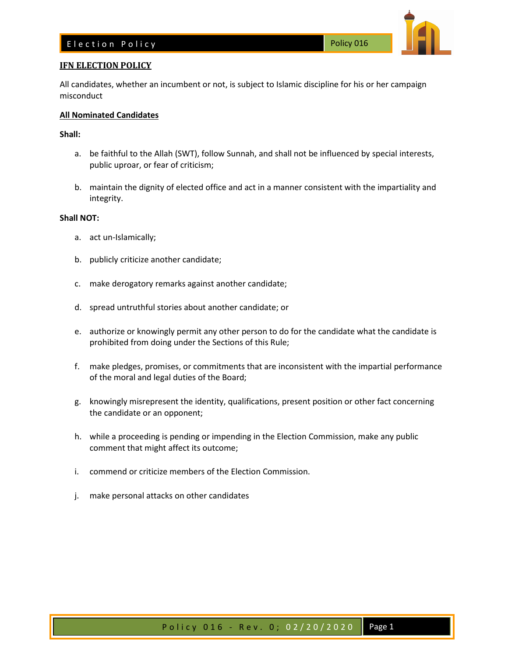# E lection Policy **Example 2016** Policy 016



All candidates, whether an incumbent or not, is subject to Islamic discipline for his or her campaign misconduct

## **All Nominated Candidates**

### **Shall:**

- a. be faithful to the Allah (SWT), follow Sunnah, and shall not be influenced by special interests, public uproar, or fear of criticism;
- b. maintain the dignity of elected office and act in a manner consistent with the impartiality and integrity.

#### **Shall NOT:**

- a. act un-Islamically;
- b. publicly criticize another candidate;
- c. make derogatory remarks against another candidate;
- d. spread untruthful stories about another candidate; or
- e. authorize or knowingly permit any other person to do for the candidate what the candidate is prohibited from doing under the Sections of this Rule;
- f. make pledges, promises, or commitments that are inconsistent with the impartial performance of the moral and legal duties of the Board;
- g. knowingly misrepresent the identity, qualifications, present position or other fact concerning the candidate or an opponent;
- h. while a proceeding is pending or impending in the Election Commission, make any public comment that might affect its outcome;
- i. commend or criticize members of the Election Commission.
- j. make personal attacks on other candidates